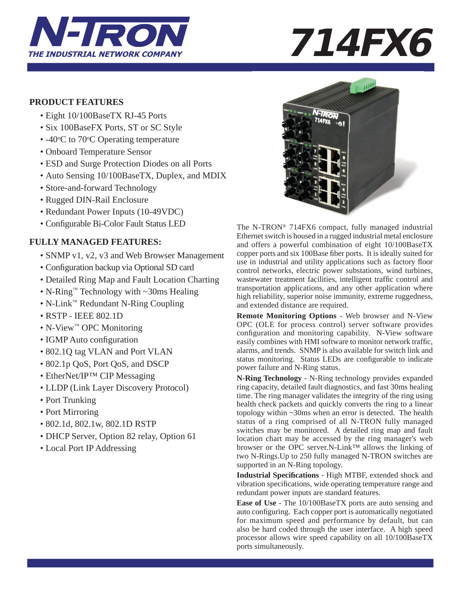

### **PRODUCT FEATURES**

- Eight 10/100BaseTX RJ-45 Ports
- Six 100BaseFX Ports, ST or SC Style
- $-40$ °C to 70°C Operating temperature
	- Onboard Temperature Sensor
	- ESD and Surge Protection Diodes on all Ports
	- Auto Sensing 10/100BaseTX, Duplex, and MDIX
	- Store-and-forward Technology
	- Rugged DIN-Rail Enclosure
	- Redundant Power Inputs (10-49VDC)
	- Configurable Bi-Color Fault Status LED

## **FULLY MANAGED FEATURES:**

- SNMP v1, v2, v3 and Web Browser Management
- Configuration backup via Optional SD card
- Detailed Ring Map and Fault Location Charting
- N-Ring™ Technology with ~30ms Healing
- N-Link™ Redundant N-Ring Coupling
- RSTP IEEE 802.1D
- N-View™ OPC Monitoring
- IGMP Auto configuration
- 802.1Q tag VLAN and Port VLAN
- 802.1p QoS, Port QoS, and DSCP
- EtherNet/IP<sup>TM</sup> CIP Messaging
- LLDP (Link Layer Discovery Protocol)
- Port Trunking
- Port Mirroring
- 802.1d, 802.1w, 802.1D RSTP
- DHCP Server, Option 82 relay, Option 61
- Local Port IP Addressing



The N-TRON® 714FX6 compact, fully managed industrial Ethernet switch is housed in a rugged industrial metal enclosure and offers a powerful combination of eight 10/100BaseTX copper ports and six 100Base fiber ports. It is ideally suited for use in industrial and utility applications such as factory floor control networks, electric power substations, wind turbines, wastewater treatment facilities, intelligent traffic control and transportation applications, and any other application where high reliability, superior noise immunity, extreme ruggedness, and extended distance are required.

**Remote Monitoring Options** - Web browser and N-View OPC (OLE for process control) server software provides configuration and monitoring capability. N-View software easily combines with HMI software to monitor network traffic, alarms, and trends. SNMP is also available for switch link and status monitoring. Status LEDs are configurable to indicate power failure and N-Ring status.

**N-Ring Technology** - N-Ring technology provides expanded ring capacity, detailed fault diagnostics, and fast 30ms healing time. The ring manager validates the integrity of the ring using health check packets and quickly converts the ring to a linear topology within ~30ms when an error is detected. The health status of a ring comprised of all N-TRON fully managed switches may be monitored. A detailed ring map and fault location chart may be accessed by the ring manager's web browser or the OPC server.N-Link™ allows the linking of two N-Rings.Up to 250 fully managed N-TRON switches are supported in an N-Ring topology.

**Industrial Specifi cations** - High MTBF, extended shock and vibration specifications, wide operating temperature range and redundant power inputs are standard features.

**Ease of Use** - The 10/100BaseTX ports are auto sensing and auto configuring. Each copper port is automatically negotiated for maximum speed and performance by default, but can also be hard coded through the user interface. A high speed processor allows wire speed capability on all 10/100BaseTX ports simultaneously.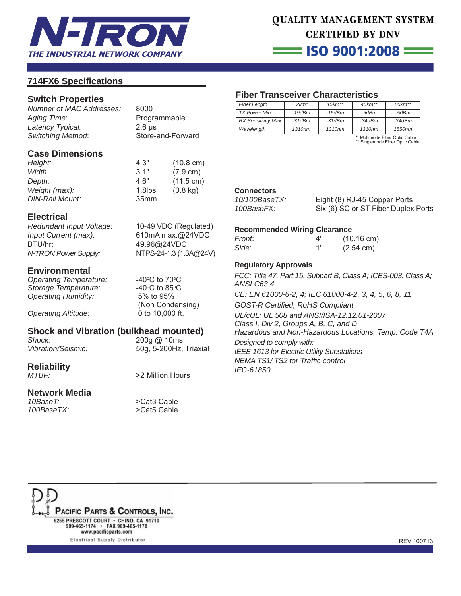

 $\equiv$  ISO 9001:2008  $\equiv$ 

### **714FX6 Specifi cations**

### **Switch Properties**

*Number of MAC Addresses:* 8000 *Aging Time*: Programmable *Latency Typical:* 2.6 μs *Switching Method*: Store-and-Forward

### **Case Dimensions**

| Height:                | 4.3"             | $(10.8 \text{ cm})$ |
|------------------------|------------------|---------------------|
| Width:                 | 31"              | $(7.9 \text{ cm})$  |
| Depth:                 | 4.6"             | $(11.5 \text{ cm})$ |
| Weight (max):          | $1.8$ lbs        | $(0.8 \text{ kg})$  |
| <b>DIN-Rail Mount:</b> | 35 <sub>mm</sub> |                     |

### **Electrical**

*Redundant Input Voltage:* 10-49 VDC (Regulated) *Input Current (max):* 610mA max.@24VDC BTU/hr: 49.96@24VDC *N-TRON Power Supply:* NTPS-24-1.3 (1.3A**@**24V)

**Environmental Operating Temperature: Storage Temperature:** *Operating Humidity:* 5% to 95%

*Operating Altitude:* 0 to 10,000 ft.

# **Shock and Vibration (bulkhead mounted)**<br>Shock: 200g @ 10ms

*Vibration/Seismic:* 50g, 5-200Hz, Triaxial

*Shock:* 200g @ 10ms

C to  $70^{\circ}$ C

C to 85 $\degree$ C

(Non Condensing)

# **Reliability**

**Network Media** *100BaseTX:* >Cat5 Cable

### *MTBF:* >2 Million Hours

>Cat3 Cable

### **Fiber Transceiver Characteristics**

| <b>Fiber Length</b>       | $2km*$             | $15km**$           | $40km**$ | $80km**$ |
|---------------------------|--------------------|--------------------|----------|----------|
| <b>TX Power Min</b>       | $-19$ d $Bm$       | $-15$ d $Bm$       | -5dBm    | -5dBm    |
| <b>RX Sensitivity Max</b> | $-31dBm$           | $-31dBm$           | $-34dBm$ | $-34dBm$ |
| Wavelength                | 1310 <sub>nm</sub> | 1310 <sub>nm</sub> | 1310nm   | 1550nm   |

\* Multimode Fiber Optic Cable \*\* Singlemode Fiber Optic Cable

### **Connectors**

*10/100BaseTX:* Eight (8) RJ-45 Copper Ports *100BaseFX:* Six (6) SC or ST Fiber Duplex Ports

#### **Recommended Wiring Clearance**

| Front: | 4" | $(10.16 \text{ cm})$ |
|--------|----|----------------------|
| Side:  | 1" | $(2.54 \text{ cm})$  |

### **Regulatory Approvals**

*FCC: Title 47, Part 15, Subpart B, Class A; ICES-003: Class A; ANSI C63.4 CE: EN 61000-6-2, 4; IEC 61000-4-2, 3, 4, 5, 6, 8, 11 GOST-R Certifi ed, RoHS Compliant UL/cUL: UL 508 and ANSI/ISA-12.12.01-2007* 

*Class I, Div 2, Groups A, B, C, and D Hazardous and Non-Hazardous Locations, Temp. Code T4A*

*Designed to comply with: IEEE 1613 for Electric Utility Substations NEMA TS1/ TS2 for Traffi c control IEC-61850*

PACIFIC PARTS & CONTROLS, INC. 6255 PRESCOTT COURT · CHINO, CA 91710 909-465-1174 · FAX 909-465-1178 www.pacificparts.com

Electrical Supply Distributor